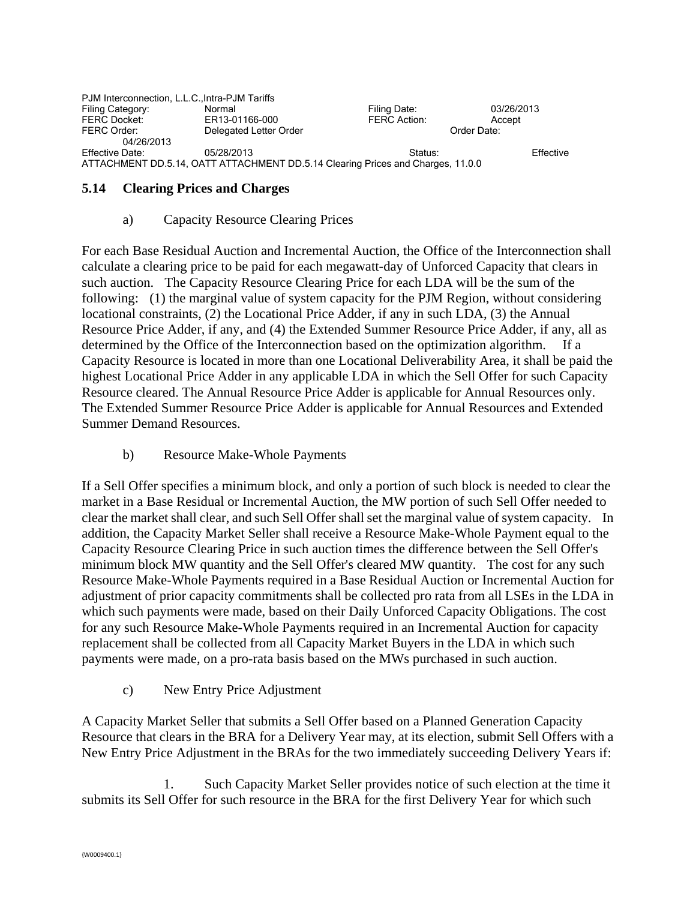| PJM Interconnection, L.L.C., Intra-PJM Tariffs |                                                                                 |              |             |  |
|------------------------------------------------|---------------------------------------------------------------------------------|--------------|-------------|--|
| Filing Category:                               | Normal                                                                          | Filing Date: | 03/26/2013  |  |
| <b>FERC Docket:</b>                            | ER13-01166-000                                                                  | FERC Action: | Accept      |  |
| FERC Order:                                    | Delegated Letter Order                                                          |              | Order Date: |  |
| 04/26/2013                                     |                                                                                 |              |             |  |
| Effective Date:                                | 05/28/2013                                                                      | Status:      | Effective   |  |
|                                                | ATTACHMENT DD.5.14, OATT ATTACHMENT DD.5.14 Clearing Prices and Charges, 11.0.0 |              |             |  |

#### **5.14 Clearing Prices and Charges**

#### a) Capacity Resource Clearing Prices

For each Base Residual Auction and Incremental Auction, the Office of the Interconnection shall calculate a clearing price to be paid for each megawatt-day of Unforced Capacity that clears in such auction. The Capacity Resource Clearing Price for each LDA will be the sum of the following: (1) the marginal value of system capacity for the PJM Region, without considering locational constraints, (2) the Locational Price Adder, if any in such LDA, (3) the Annual Resource Price Adder, if any, and (4) the Extended Summer Resource Price Adder, if any, all as determined by the Office of the Interconnection based on the optimization algorithm. If a Capacity Resource is located in more than one Locational Deliverability Area, it shall be paid the highest Locational Price Adder in any applicable LDA in which the Sell Offer for such Capacity Resource cleared. The Annual Resource Price Adder is applicable for Annual Resources only. The Extended Summer Resource Price Adder is applicable for Annual Resources and Extended Summer Demand Resources.

b) Resource Make-Whole Payments

If a Sell Offer specifies a minimum block, and only a portion of such block is needed to clear the market in a Base Residual or Incremental Auction, the MW portion of such Sell Offer needed to clear the market shall clear, and such Sell Offer shall set the marginal value of system capacity. In addition, the Capacity Market Seller shall receive a Resource Make-Whole Payment equal to the Capacity Resource Clearing Price in such auction times the difference between the Sell Offer's minimum block MW quantity and the Sell Offer's cleared MW quantity. The cost for any such Resource Make-Whole Payments required in a Base Residual Auction or Incremental Auction for adjustment of prior capacity commitments shall be collected pro rata from all LSEs in the LDA in which such payments were made, based on their Daily Unforced Capacity Obligations. The cost for any such Resource Make-Whole Payments required in an Incremental Auction for capacity replacement shall be collected from all Capacity Market Buyers in the LDA in which such payments were made, on a pro-rata basis based on the MWs purchased in such auction.

c) New Entry Price Adjustment

A Capacity Market Seller that submits a Sell Offer based on a Planned Generation Capacity Resource that clears in the BRA for a Delivery Year may, at its election, submit Sell Offers with a New Entry Price Adjustment in the BRAs for the two immediately succeeding Delivery Years if:

1. Such Capacity Market Seller provides notice of such election at the time it submits its Sell Offer for such resource in the BRA for the first Delivery Year for which such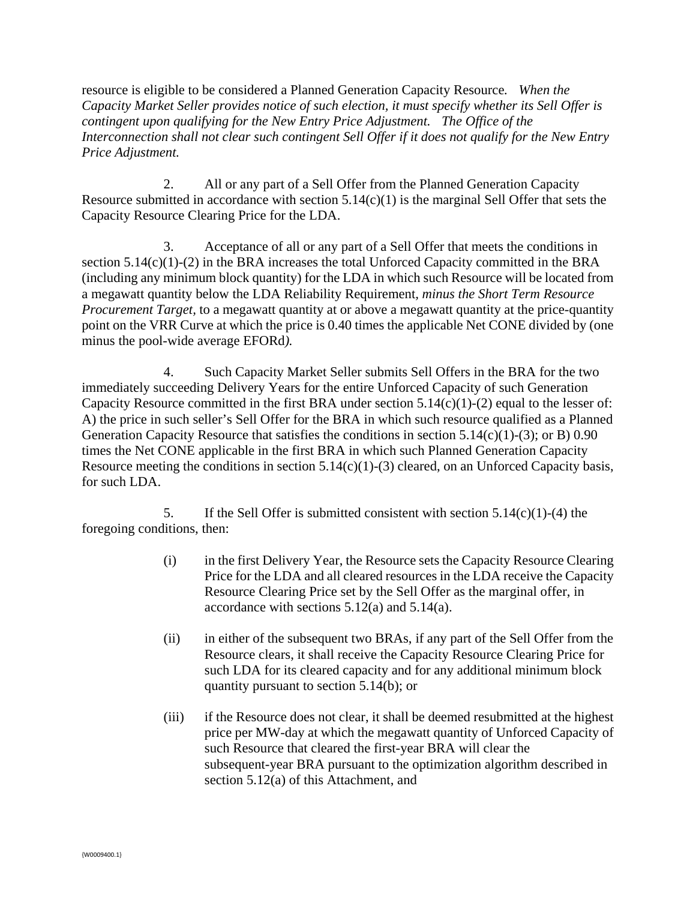resource is eligible to be considered a Planned Generation Capacity Resource*. When the Capacity Market Seller provides notice of such election, it must specify whether its Sell Offer is contingent upon qualifying for the New Entry Price Adjustment. The Office of the Interconnection shall not clear such contingent Sell Offer if it does not qualify for the New Entry Price Adjustment.*

2. All or any part of a Sell Offer from the Planned Generation Capacity Resource submitted in accordance with section  $5.14(c)(1)$  is the marginal Sell Offer that sets the Capacity Resource Clearing Price for the LDA.

3. Acceptance of all or any part of a Sell Offer that meets the conditions in section 5.14(c)(1)-(2) in the BRA increases the total Unforced Capacity committed in the BRA (including any minimum block quantity) for the LDA in which such Resource will be located from a megawatt quantity below the LDA Reliability Requirement*, minus the Short Term Resource Procurement Target,* to a megawatt quantity at or above a megawatt quantity at the price-quantity point on the VRR Curve at which the price is 0.40 times the applicable Net CONE divided by (one minus the pool-wide average EFORd*).*

4. Such Capacity Market Seller submits Sell Offers in the BRA for the two immediately succeeding Delivery Years for the entire Unforced Capacity of such Generation Capacity Resource committed in the first BRA under section  $5.14(c)(1)-(2)$  equal to the lesser of: A) the price in such seller's Sell Offer for the BRA in which such resource qualified as a Planned Generation Capacity Resource that satisfies the conditions in section 5.14(c)(1)-(3); or B) 0.90 times the Net CONE applicable in the first BRA in which such Planned Generation Capacity Resource meeting the conditions in section  $5.14(c)(1)-(3)$  cleared, on an Unforced Capacity basis, for such LDA.

5. If the Sell Offer is submitted consistent with section  $5.14(c)(1)-(4)$  the foregoing conditions, then:

- (i) in the first Delivery Year, the Resource sets the Capacity Resource Clearing Price for the LDA and all cleared resources in the LDA receive the Capacity Resource Clearing Price set by the Sell Offer as the marginal offer, in accordance with sections 5.12(a) and 5.14(a).
- (ii) in either of the subsequent two BRAs, if any part of the Sell Offer from the Resource clears, it shall receive the Capacity Resource Clearing Price for such LDA for its cleared capacity and for any additional minimum block quantity pursuant to section 5.14(b); or
- (iii) if the Resource does not clear, it shall be deemed resubmitted at the highest price per MW-day at which the megawatt quantity of Unforced Capacity of such Resource that cleared the first-year BRA will clear the subsequent-year BRA pursuant to the optimization algorithm described in section 5.12(a) of this Attachment, and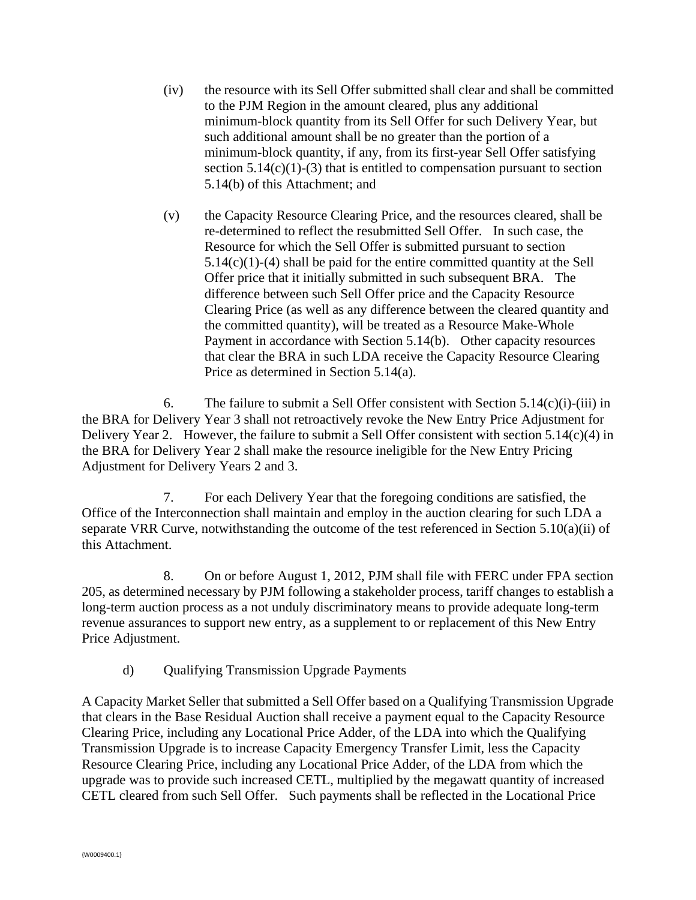- (iv) the resource with its Sell Offer submitted shall clear and shall be committed to the PJM Region in the amount cleared, plus any additional minimum-block quantity from its Sell Offer for such Delivery Year, but such additional amount shall be no greater than the portion of a minimum-block quantity, if any, from its first-year Sell Offer satisfying section  $5.14(c)(1)-(3)$  that is entitled to compensation pursuant to section 5.14(b) of this Attachment; and
- (v) the Capacity Resource Clearing Price, and the resources cleared, shall be re-determined to reflect the resubmitted Sell Offer. In such case, the Resource for which the Sell Offer is submitted pursuant to section 5.14(c)(1)-(4) shall be paid for the entire committed quantity at the Sell Offer price that it initially submitted in such subsequent BRA. The difference between such Sell Offer price and the Capacity Resource Clearing Price (as well as any difference between the cleared quantity and the committed quantity), will be treated as a Resource Make-Whole Payment in accordance with Section 5.14(b). Other capacity resources that clear the BRA in such LDA receive the Capacity Resource Clearing Price as determined in Section 5.14(a).

6. The failure to submit a Sell Offer consistent with Section  $5.14(c)(i)$ -(iii) in the BRA for Delivery Year 3 shall not retroactively revoke the New Entry Price Adjustment for Delivery Year 2. However, the failure to submit a Sell Offer consistent with section 5.14(c)(4) in the BRA for Delivery Year 2 shall make the resource ineligible for the New Entry Pricing Adjustment for Delivery Years 2 and 3.

7. For each Delivery Year that the foregoing conditions are satisfied, the Office of the Interconnection shall maintain and employ in the auction clearing for such LDA a separate VRR Curve, notwithstanding the outcome of the test referenced in Section 5.10(a)(ii) of this Attachment.

8. On or before August 1, 2012, PJM shall file with FERC under FPA section 205, as determined necessary by PJM following a stakeholder process, tariff changes to establish a long-term auction process as a not unduly discriminatory means to provide adequate long-term revenue assurances to support new entry, as a supplement to or replacement of this New Entry Price Adjustment.

d) Qualifying Transmission Upgrade Payments

A Capacity Market Seller that submitted a Sell Offer based on a Qualifying Transmission Upgrade that clears in the Base Residual Auction shall receive a payment equal to the Capacity Resource Clearing Price, including any Locational Price Adder, of the LDA into which the Qualifying Transmission Upgrade is to increase Capacity Emergency Transfer Limit, less the Capacity Resource Clearing Price, including any Locational Price Adder, of the LDA from which the upgrade was to provide such increased CETL, multiplied by the megawatt quantity of increased CETL cleared from such Sell Offer. Such payments shall be reflected in the Locational Price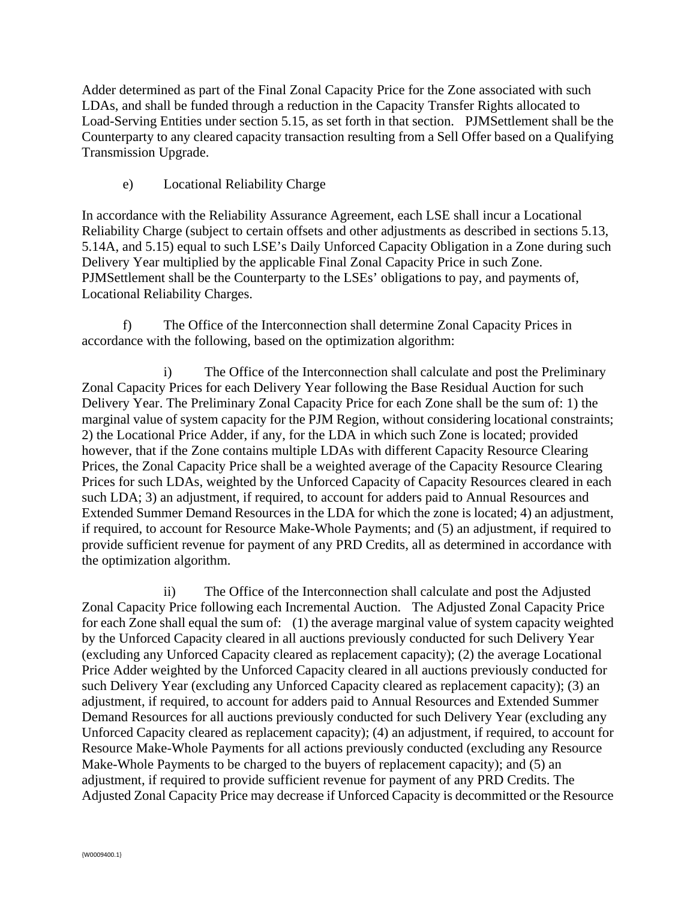Adder determined as part of the Final Zonal Capacity Price for the Zone associated with such LDAs, and shall be funded through a reduction in the Capacity Transfer Rights allocated to Load-Serving Entities under section 5.15, as set forth in that section. PJMSettlement shall be the Counterparty to any cleared capacity transaction resulting from a Sell Offer based on a Qualifying Transmission Upgrade.

e) Locational Reliability Charge

In accordance with the Reliability Assurance Agreement, each LSE shall incur a Locational Reliability Charge (subject to certain offsets and other adjustments as described in sections 5.13, 5.14A, and 5.15) equal to such LSE's Daily Unforced Capacity Obligation in a Zone during such Delivery Year multiplied by the applicable Final Zonal Capacity Price in such Zone. PJMSettlement shall be the Counterparty to the LSEs' obligations to pay, and payments of, Locational Reliability Charges.

 f) The Office of the Interconnection shall determine Zonal Capacity Prices in accordance with the following, based on the optimization algorithm:

i) The Office of the Interconnection shall calculate and post the Preliminary Zonal Capacity Prices for each Delivery Year following the Base Residual Auction for such Delivery Year. The Preliminary Zonal Capacity Price for each Zone shall be the sum of: 1) the marginal value of system capacity for the PJM Region, without considering locational constraints; 2) the Locational Price Adder, if any, for the LDA in which such Zone is located; provided however, that if the Zone contains multiple LDAs with different Capacity Resource Clearing Prices, the Zonal Capacity Price shall be a weighted average of the Capacity Resource Clearing Prices for such LDAs, weighted by the Unforced Capacity of Capacity Resources cleared in each such LDA; 3) an adjustment, if required, to account for adders paid to Annual Resources and Extended Summer Demand Resources in the LDA for which the zone is located; 4) an adjustment, if required, to account for Resource Make-Whole Payments; and (5) an adjustment, if required to provide sufficient revenue for payment of any PRD Credits, all as determined in accordance with the optimization algorithm.

ii) The Office of the Interconnection shall calculate and post the Adjusted Zonal Capacity Price following each Incremental Auction. The Adjusted Zonal Capacity Price for each Zone shall equal the sum of: (1) the average marginal value of system capacity weighted by the Unforced Capacity cleared in all auctions previously conducted for such Delivery Year (excluding any Unforced Capacity cleared as replacement capacity); (2) the average Locational Price Adder weighted by the Unforced Capacity cleared in all auctions previously conducted for such Delivery Year (excluding any Unforced Capacity cleared as replacement capacity); (3) an adjustment, if required, to account for adders paid to Annual Resources and Extended Summer Demand Resources for all auctions previously conducted for such Delivery Year (excluding any Unforced Capacity cleared as replacement capacity); (4) an adjustment, if required, to account for Resource Make-Whole Payments for all actions previously conducted (excluding any Resource Make-Whole Payments to be charged to the buyers of replacement capacity); and (5) an adjustment, if required to provide sufficient revenue for payment of any PRD Credits. The Adjusted Zonal Capacity Price may decrease if Unforced Capacity is decommitted or the Resource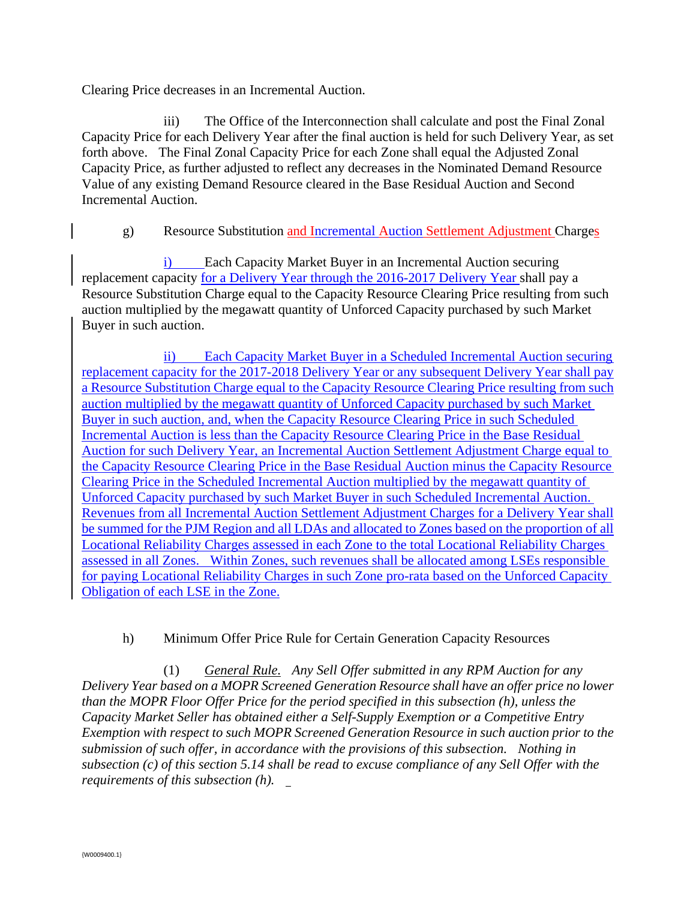Clearing Price decreases in an Incremental Auction.

iii) The Office of the Interconnection shall calculate and post the Final Zonal Capacity Price for each Delivery Year after the final auction is held for such Delivery Year, as set forth above. The Final Zonal Capacity Price for each Zone shall equal the Adjusted Zonal Capacity Price, as further adjusted to reflect any decreases in the Nominated Demand Resource Value of any existing Demand Resource cleared in the Base Residual Auction and Second Incremental Auction.

# g) Resource Substitution and Incremental Auction Settlement Adjustment Charges

i) Each Capacity Market Buyer in an Incremental Auction securing replacement capacity for a Delivery Year through the 2016-2017 Delivery Year shall pay a Resource Substitution Charge equal to the Capacity Resource Clearing Price resulting from such auction multiplied by the megawatt quantity of Unforced Capacity purchased by such Market Buyer in such auction.

ii) Each Capacity Market Buyer in a Scheduled Incremental Auction securing replacement capacity for the 2017-2018 Delivery Year or any subsequent Delivery Year shall pay a Resource Substitution Charge equal to the Capacity Resource Clearing Price resulting from such auction multiplied by the megawatt quantity of Unforced Capacity purchased by such Market Buyer in such auction, and, when the Capacity Resource Clearing Price in such Scheduled Incremental Auction is less than the Capacity Resource Clearing Price in the Base Residual Auction for such Delivery Year, an Incremental Auction Settlement Adjustment Charge equal to the Capacity Resource Clearing Price in the Base Residual Auction minus the Capacity Resource Clearing Price in the Scheduled Incremental Auction multiplied by the megawatt quantity of Unforced Capacity purchased by such Market Buyer in such Scheduled Incremental Auction. Revenues from all Incremental Auction Settlement Adjustment Charges for a Delivery Year shall be summed for the PJM Region and all LDAs and allocated to Zones based on the proportion of all Locational Reliability Charges assessed in each Zone to the total Locational Reliability Charges assessed in all Zones. Within Zones, such revenues shall be allocated among LSEs responsible for paying Locational Reliability Charges in such Zone pro-rata based on the Unforced Capacity Obligation of each LSE in the Zone.

# h) Minimum Offer Price Rule for Certain Generation Capacity Resources

(1) *General Rule. Any Sell Offer submitted in any RPM Auction for any Delivery Year based on a MOPR Screened Generation Resource shall have an offer price no lower than the MOPR Floor Offer Price for the period specified in this subsection (h), unless the Capacity Market Seller has obtained either a Self-Supply Exemption or a Competitive Entry Exemption with respect to such MOPR Screened Generation Resource in such auction prior to the submission of such offer, in accordance with the provisions of this subsection. Nothing in subsection (c) of this section 5.14 shall be read to excuse compliance of any Sell Offer with the requirements of this subsection (h).*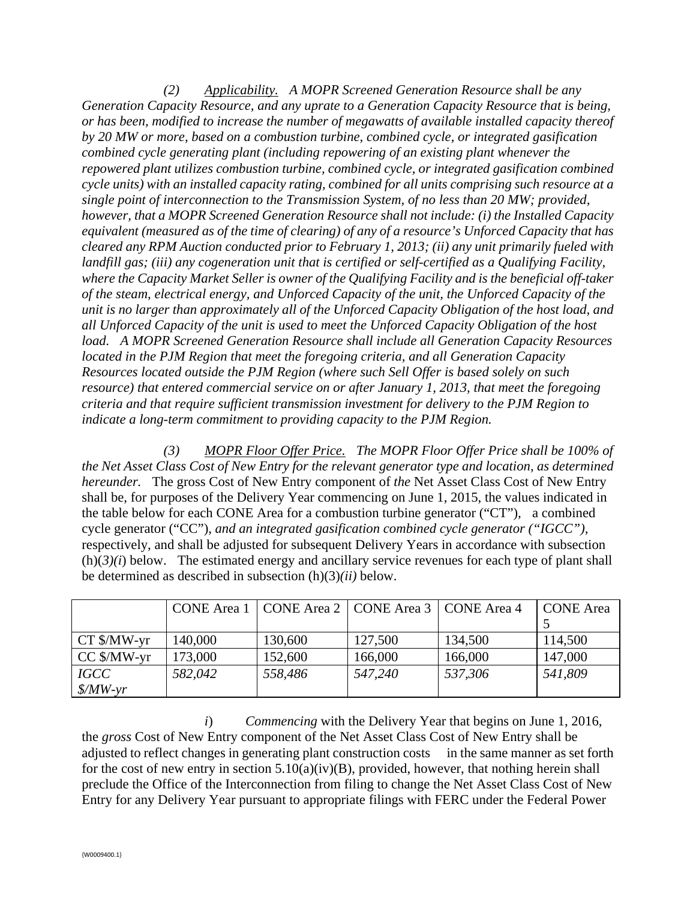*(2) Applicability. A MOPR Screened Generation Resource shall be any Generation Capacity Resource, and any uprate to a Generation Capacity Resource that is being, or has been, modified to increase the number of megawatts of available installed capacity thereof by 20 MW or more, based on a combustion turbine, combined cycle, or integrated gasification combined cycle generating plant (including repowering of an existing plant whenever the repowered plant utilizes combustion turbine, combined cycle, or integrated gasification combined cycle units) with an installed capacity rating, combined for all units comprising such resource at a single point of interconnection to the Transmission System, of no less than 20 MW; provided, however, that a MOPR Screened Generation Resource shall not include: (i) the Installed Capacity equivalent (measured as of the time of clearing) of any of a resource's Unforced Capacity that has cleared any RPM Auction conducted prior to February 1, 2013; (ii) any unit primarily fueled with landfill gas; (iii) any cogeneration unit that is certified or self-certified as a Qualifying Facility, where the Capacity Market Seller is owner of the Qualifying Facility and is the beneficial off-taker of the steam, electrical energy, and Unforced Capacity of the unit, the Unforced Capacity of the unit is no larger than approximately all of the Unforced Capacity Obligation of the host load, and all Unforced Capacity of the unit is used to meet the Unforced Capacity Obligation of the host load. A MOPR Screened Generation Resource shall include all Generation Capacity Resources located in the PJM Region that meet the foregoing criteria, and all Generation Capacity Resources located outside the PJM Region (where such Sell Offer is based solely on such resource) that entered commercial service on or after January 1, 2013, that meet the foregoing criteria and that require sufficient transmission investment for delivery to the PJM Region to indicate a long-term commitment to providing capacity to the PJM Region.* 

*(3) MOPR Floor Offer Price. The MOPR Floor Offer Price shall be 100% of the Net Asset Class Cost of New Entry for the relevant generator type and location, as determined hereunder.* The gross Cost of New Entry component of *the* Net Asset Class Cost of New Entry shall be, for purposes of the Delivery Year commencing on June 1, 2015, the values indicated in the table below for each CONE Area for a combustion turbine generator ("CT")*,* a combined cycle generator ("CC"), *and an integrated gasification combined cycle generator ("IGCC"),* respectively, and shall be adjusted for subsequent Delivery Years in accordance with subsection  $(h)(3)(i)$  below. The estimated energy and ancillary service revenues for each type of plant shall be determined as described in subsection (h)(3)*(ii)* below.

|                                  | CONE Area 1 |         | CONE Area 2   CONE Area 3   CONE Area 4 |         | <b>CONE</b> Area |
|----------------------------------|-------------|---------|-----------------------------------------|---------|------------------|
|                                  |             |         |                                         |         |                  |
| $CT$ \$/MW-yr                    | 140,000     | 130,600 | 127,500                                 | 134,500 | 114,500          |
| $CC$ \$/MW-yr                    | 173,000     | 152,600 | 166,000                                 | 166,000 | 147,000          |
| <i>IGCC</i>                      | 582,042     | 558,486 | 547,240                                 | 537,306 | 541,809          |
| $\frac{\text{S}}{\text{M}}$ W-yr |             |         |                                         |         |                  |

 *i*) *Commencing* with the Delivery Year that begins on June 1, 2016, the *gross* Cost of New Entry component of the Net Asset Class Cost of New Entry shall be adjusted to reflect changes in generating plant construction costs in the same manner as set forth for the cost of new entry in section  $5.10(a)(iv)(B)$ , provided, however, that nothing herein shall preclude the Office of the Interconnection from filing to change the Net Asset Class Cost of New Entry for any Delivery Year pursuant to appropriate filings with FERC under the Federal Power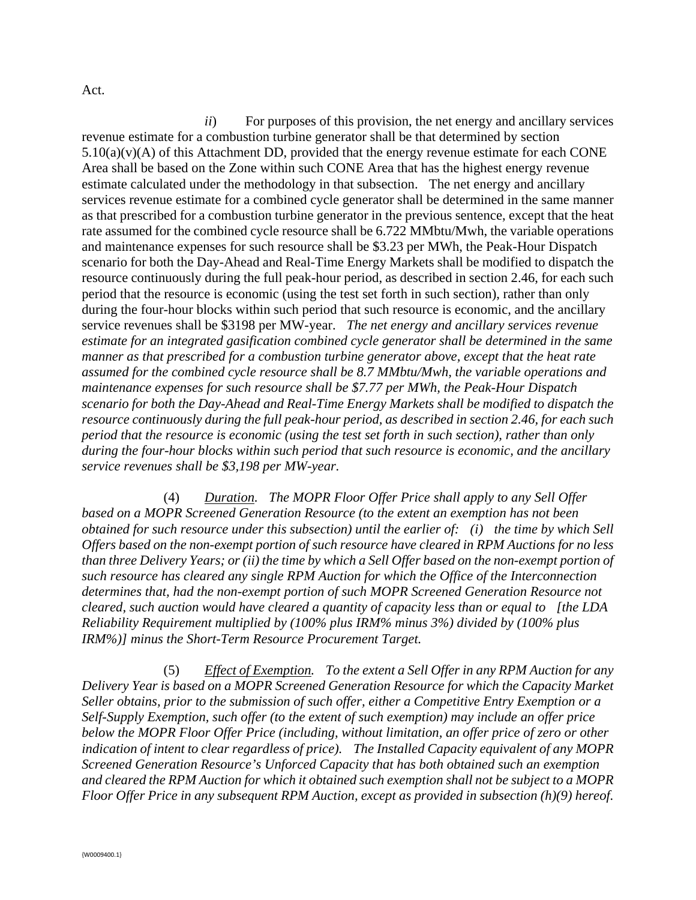Act.

*ii*) For purposes of this provision, the net energy and ancillary services revenue estimate for a combustion turbine generator shall be that determined by section  $5.10(a)(v)(A)$  of this Attachment DD, provided that the energy revenue estimate for each CONE Area shall be based on the Zone within such CONE Area that has the highest energy revenue estimate calculated under the methodology in that subsection. The net energy and ancillary services revenue estimate for a combined cycle generator shall be determined in the same manner as that prescribed for a combustion turbine generator in the previous sentence, except that the heat rate assumed for the combined cycle resource shall be 6.722 MMbtu/Mwh, the variable operations and maintenance expenses for such resource shall be \$3.23 per MWh, the Peak-Hour Dispatch scenario for both the Day-Ahead and Real-Time Energy Markets shall be modified to dispatch the resource continuously during the full peak-hour period, as described in section 2.46, for each such period that the resource is economic (using the test set forth in such section), rather than only during the four-hour blocks within such period that such resource is economic, and the ancillary service revenues shall be \$3198 per MW-year. *The net energy and ancillary services revenue estimate for an integrated gasification combined cycle generator shall be determined in the same manner as that prescribed for a combustion turbine generator above, except that the heat rate assumed for the combined cycle resource shall be 8.7 MMbtu/Mwh, the variable operations and maintenance expenses for such resource shall be \$7.77 per MWh, the Peak-Hour Dispatch scenario for both the Day-Ahead and Real-Time Energy Markets shall be modified to dispatch the resource continuously during the full peak-hour period, as described in section 2.46, for each such period that the resource is economic (using the test set forth in such section), rather than only during the four-hour blocks within such period that such resource is economic, and the ancillary service revenues shall be \$3,198 per MW-year.*

(4) *Duration. The MOPR Floor Offer Price shall apply to any Sell Offer based on a MOPR Screened Generation Resource (to the extent an exemption has not been obtained for such resource under this subsection) until the earlier of: (i) the time by which Sell Offers based on the non-exempt portion of such resource have cleared in RPM Auctions for no less than three Delivery Years; or (ii) the time by which a Sell Offer based on the non-exempt portion of such resource has cleared any single RPM Auction for which the Office of the Interconnection determines that, had the non-exempt portion of such MOPR Screened Generation Resource not cleared, such auction would have cleared a quantity of capacity less than or equal to [the LDA Reliability Requirement multiplied by (100% plus IRM% minus 3%) divided by (100% plus IRM%)] minus the Short-Term Resource Procurement Target.* 

(5) *Effect of Exemption. To the extent a Sell Offer in any RPM Auction for any Delivery Year is based on a MOPR Screened Generation Resource for which the Capacity Market Seller obtains, prior to the submission of such offer, either a Competitive Entry Exemption or a Self-Supply Exemption, such offer (to the extent of such exemption) may include an offer price below the MOPR Floor Offer Price (including, without limitation, an offer price of zero or other indication of intent to clear regardless of price). The Installed Capacity equivalent of any MOPR Screened Generation Resource's Unforced Capacity that has both obtained such an exemption and cleared the RPM Auction for which it obtained such exemption shall not be subject to a MOPR Floor Offer Price in any subsequent RPM Auction, except as provided in subsection (h)(9) hereof.*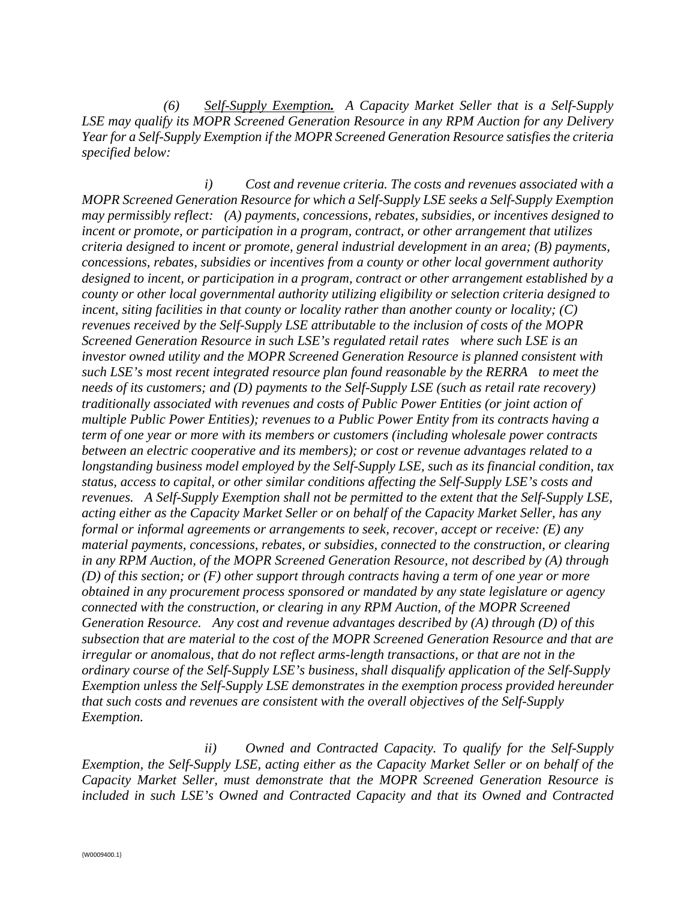*(6) Self-Supply Exemption. A Capacity Market Seller that is a Self-Supply LSE may qualify its MOPR Screened Generation Resource in any RPM Auction for any Delivery Year for a Self-Supply Exemption if the MOPR Screened Generation Resource satisfies the criteria specified below:* 

 *i) Cost and revenue criteria. The costs and revenues associated with a MOPR Screened Generation Resource for which a Self-Supply LSE seeks a Self-Supply Exemption may permissibly reflect: (A) payments, concessions, rebates, subsidies, or incentives designed to incent or promote, or participation in a program, contract, or other arrangement that utilizes criteria designed to incent or promote, general industrial development in an area; (B) payments, concessions, rebates, subsidies or incentives from a county or other local government authority designed to incent, or participation in a program, contract or other arrangement established by a county or other local governmental authority utilizing eligibility or selection criteria designed to incent, siting facilities in that county or locality rather than another county or locality; (C) revenues received by the Self-Supply LSE attributable to the inclusion of costs of the MOPR Screened Generation Resource in such LSE's regulated retail rates where such LSE is an investor owned utility and the MOPR Screened Generation Resource is planned consistent with such LSE's most recent integrated resource plan found reasonable by the RERRA to meet the needs of its customers; and (D) payments to the Self-Supply LSE (such as retail rate recovery) traditionally associated with revenues and costs of Public Power Entities (or joint action of multiple Public Power Entities); revenues to a Public Power Entity from its contracts having a term of one year or more with its members or customers (including wholesale power contracts between an electric cooperative and its members); or cost or revenue advantages related to a longstanding business model employed by the Self-Supply LSE, such as its financial condition, tax status, access to capital, or other similar conditions affecting the Self-Supply LSE's costs and revenues. A Self-Supply Exemption shall not be permitted to the extent that the Self-Supply LSE, acting either as the Capacity Market Seller or on behalf of the Capacity Market Seller, has any formal or informal agreements or arrangements to seek, recover, accept or receive: (E) any material payments, concessions, rebates, or subsidies, connected to the construction, or clearing in any RPM Auction, of the MOPR Screened Generation Resource, not described by (A) through (D) of this section; or (F) other support through contracts having a term of one year or more obtained in any procurement process sponsored or mandated by any state legislature or agency connected with the construction, or clearing in any RPM Auction, of the MOPR Screened Generation Resource. Any cost and revenue advantages described by (A) through (D) of this subsection that are material to the cost of the MOPR Screened Generation Resource and that are irregular or anomalous, that do not reflect arms-length transactions, or that are not in the ordinary course of the Self-Supply LSE's business, shall disqualify application of the Self-Supply Exemption unless the Self-Supply LSE demonstrates in the exemption process provided hereunder that such costs and revenues are consistent with the overall objectives of the Self-Supply Exemption.* 

 *ii) Owned and Contracted Capacity. To qualify for the Self-Supply Exemption, the Self-Supply LSE, acting either as the Capacity Market Seller or on behalf of the Capacity Market Seller, must demonstrate that the MOPR Screened Generation Resource is included in such LSE's Owned and Contracted Capacity and that its Owned and Contracted*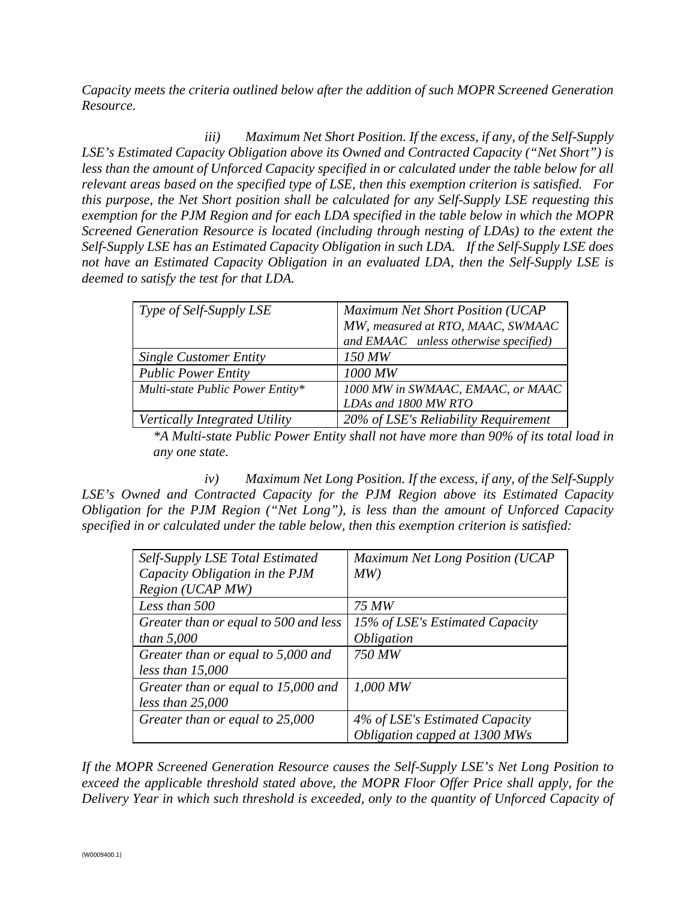*Capacity meets the criteria outlined below after the addition of such MOPR Screened Generation Resource.* 

 *iii) Maximum Net Short Position. If the excess, if any, of the Self-Supply LSE's Estimated Capacity Obligation above its Owned and Contracted Capacity ("Net Short") is less than the amount of Unforced Capacity specified in or calculated under the table below for all relevant areas based on the specified type of LSE, then this exemption criterion is satisfied. For this purpose, the Net Short position shall be calculated for any Self-Supply LSE requesting this exemption for the PJM Region and for each LDA specified in the table below in which the MOPR Screened Generation Resource is located (including through nesting of LDAs) to the extent the Self-Supply LSE has an Estimated Capacity Obligation in such LDA. If the Self-Supply LSE does not have an Estimated Capacity Obligation in an evaluated LDA, then the Self-Supply LSE is deemed to satisfy the test for that LDA.* 

| Type of Self-Supply LSE          | Maximum Net Short Position (UCAP      |
|----------------------------------|---------------------------------------|
|                                  | MW, measured at RTO, MAAC, SWMAAC     |
|                                  | and EMAAC unless otherwise specified) |
| <b>Single Customer Entity</b>    | 150 MW                                |
| <b>Public Power Entity</b>       | 1000 MW                               |
| Multi-state Public Power Entity* | 1000 MW in SWMAAC, EMAAC, or MAAC     |
|                                  | LDAs and 1800 MW RTO                  |
| Vertically Integrated Utility    | 20% of LSE's Reliability Requirement  |

*\*A Multi-state Public Power Entity shall not have more than 90% of its total load in any one state.* 

 *iv) Maximum Net Long Position. If the excess, if any, of the Self-Supply*  LSE's Owned and Contracted Capacity for the PJM Region above its Estimated Capacity *Obligation for the PJM Region ("Net Long"), is less than the amount of Unforced Capacity specified in or calculated under the table below, then this exemption criterion is satisfied:* 

| Self-Supply LSE Total Estimated       | Maximum Net Long Position (UCAP |
|---------------------------------------|---------------------------------|
| Capacity Obligation in the PJM        | MW)                             |
| Region (UCAP MW)                      |                                 |
| Less than 500                         | 75 MW                           |
| Greater than or equal to 500 and less | 15% of LSE's Estimated Capacity |
| than $5,000$                          | <i><b>Obligation</b></i>        |
| Greater than or equal to 5,000 and    | 750 MW                          |
| less than $15,000$                    |                                 |
| Greater than or equal to 15,000 and   | $1,000$ MW                      |
| less than 25,000                      |                                 |
| Greater than or equal to 25,000       | 4% of LSE's Estimated Capacity  |
|                                       | Obligation capped at 1300 MWs   |

*If the MOPR Screened Generation Resource causes the Self-Supply LSE's Net Long Position to exceed the applicable threshold stated above, the MOPR Floor Offer Price shall apply, for the Delivery Year in which such threshold is exceeded, only to the quantity of Unforced Capacity of*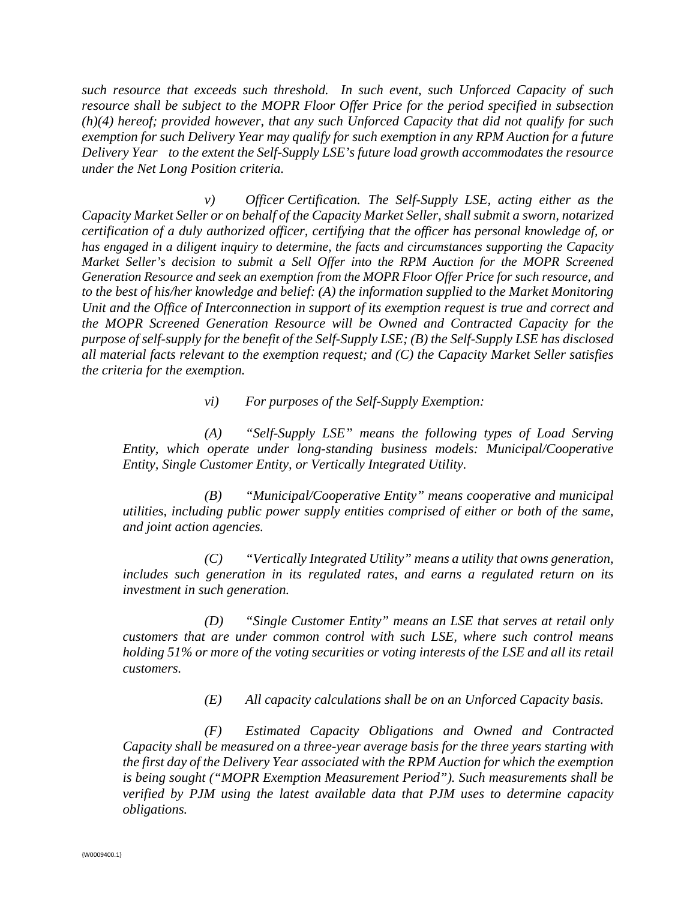*such resource that exceeds such threshold. In such event, such Unforced Capacity of such resource shall be subject to the MOPR Floor Offer Price for the period specified in subsection (h)(4) hereof; provided however, that any such Unforced Capacity that did not qualify for such exemption for such Delivery Year may qualify for such exemption in any RPM Auction for a future Delivery Year to the extent the Self-Supply LSE's future load growth accommodates the resource under the Net Long Position criteria.* 

 *v) Officer Certification. The Self-Supply LSE, acting either as the Capacity Market Seller or on behalf of the Capacity Market Seller, shall submit a sworn, notarized certification of a duly authorized officer, certifying that the officer has personal knowledge of, or has engaged in a diligent inquiry to determine, the facts and circumstances supporting the Capacity Market Seller's decision to submit a Sell Offer into the RPM Auction for the MOPR Screened Generation Resource and seek an exemption from the MOPR Floor Offer Price for such resource, and to the best of his/her knowledge and belief: (A) the information supplied to the Market Monitoring Unit and the Office of Interconnection in support of its exemption request is true and correct and the MOPR Screened Generation Resource will be Owned and Contracted Capacity for the purpose of self-supply for the benefit of the Self-Supply LSE; (B) the Self-Supply LSE has disclosed all material facts relevant to the exemption request; and (C) the Capacity Market Seller satisfies the criteria for the exemption.* 

 *vi) For purposes of the Self-Supply Exemption:* 

 *(A) "Self-Supply LSE" means the following types of Load Serving Entity, which operate under long-standing business models: Municipal/Cooperative Entity, Single Customer Entity, or Vertically Integrated Utility.* 

 *(B) "Municipal/Cooperative Entity" means cooperative and municipal utilities, including public power supply entities comprised of either or both of the same, and joint action agencies.* 

*(C) "Vertically Integrated Utility" means a utility that owns generation, includes such generation in its regulated rates, and earns a regulated return on its investment in such generation.* 

 *(D) "Single Customer Entity" means an LSE that serves at retail only customers that are under common control with such LSE, where such control means holding 51% or more of the voting securities or voting interests of the LSE and all its retail customers.* 

 *(E) All capacity calculations shall be on an Unforced Capacity basis.* 

 *(F) Estimated Capacity Obligations and Owned and Contracted Capacity shall be measured on a three-year average basis for the three years starting with the first day of the Delivery Year associated with the RPM Auction for which the exemption is being sought ("MOPR Exemption Measurement Period"). Such measurements shall be verified by PJM using the latest available data that PJM uses to determine capacity obligations.*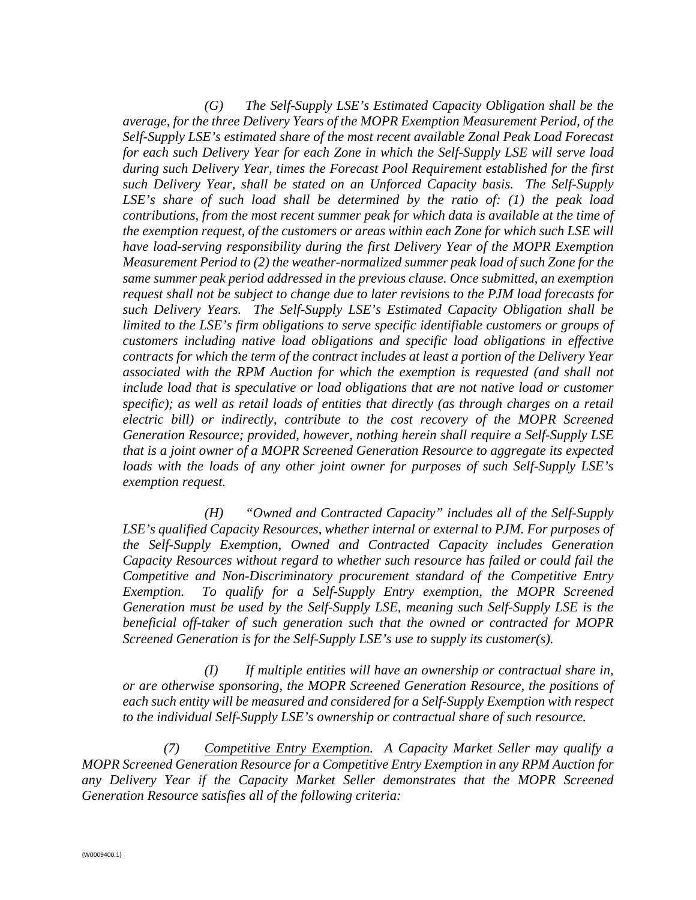*(G) The Self-Supply LSE's Estimated Capacity Obligation shall be the average, for the three Delivery Years of the MOPR Exemption Measurement Period, of the Self-Supply LSE's estimated share of the most recent available Zonal Peak Load Forecast for each such Delivery Year for each Zone in which the Self-Supply LSE will serve load during such Delivery Year, times the Forecast Pool Requirement established for the first such Delivery Year, shall be stated on an Unforced Capacity basis. The Self-Supply LSE's share of such load shall be determined by the ratio of: (1) the peak load contributions, from the most recent summer peak for which data is available at the time of the exemption request, of the customers or areas within each Zone for which such LSE will have load-serving responsibility during the first Delivery Year of the MOPR Exemption Measurement Period to (2) the weather-normalized summer peak load of such Zone for the same summer peak period addressed in the previous clause. Once submitted, an exemption request shall not be subject to change due to later revisions to the PJM load forecasts for such Delivery Years. The Self-Supply LSE's Estimated Capacity Obligation shall be limited to the LSE's firm obligations to serve specific identifiable customers or groups of customers including native load obligations and specific load obligations in effective contracts for which the term of the contract includes at least a portion of the Delivery Year associated with the RPM Auction for which the exemption is requested (and shall not include load that is speculative or load obligations that are not native load or customer specific); as well as retail loads of entities that directly (as through charges on a retail electric bill) or indirectly, contribute to the cost recovery of the MOPR Screened Generation Resource; provided, however, nothing herein shall require a Self-Supply LSE that is a joint owner of a MOPR Screened Generation Resource to aggregate its expected loads with the loads of any other joint owner for purposes of such Self-Supply LSE's exemption request.* 

 *(H) "Owned and Contracted Capacity" includes all of the Self-Supply LSE's qualified Capacity Resources, whether internal or external to PJM. For purposes of the Self-Supply Exemption, Owned and Contracted Capacity includes Generation Capacity Resources without regard to whether such resource has failed or could fail the Competitive and Non-Discriminatory procurement standard of the Competitive Entry Exemption. To qualify for a Self-Supply Entry exemption, the MOPR Screened Generation must be used by the Self-Supply LSE, meaning such Self-Supply LSE is the beneficial off-taker of such generation such that the owned or contracted for MOPR Screened Generation is for the Self-Supply LSE's use to supply its customer(s).* 

 *(I) If multiple entities will have an ownership or contractual share in, or are otherwise sponsoring, the MOPR Screened Generation Resource, the positions of each such entity will be measured and considered for a Self-Supply Exemption with respect to the individual Self-Supply LSE's ownership or contractual share of such resource.* 

 *(7) Competitive Entry Exemption. A Capacity Market Seller may qualify a MOPR Screened Generation Resource for a Competitive Entry Exemption in any RPM Auction for any Delivery Year if the Capacity Market Seller demonstrates that the MOPR Screened Generation Resource satisfies all of the following criteria:*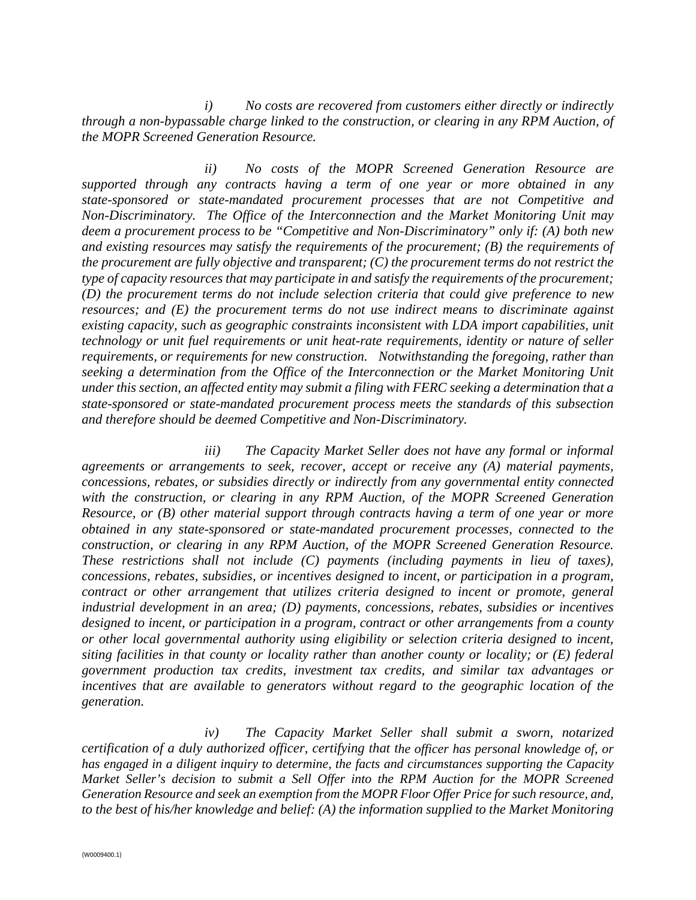*i) No costs are recovered from customers either directly or indirectly through a non-bypassable charge linked to the construction, or clearing in any RPM Auction, of the MOPR Screened Generation Resource.* 

 *ii) No costs of the MOPR Screened Generation Resource are supported through any contracts having a term of one year or more obtained in any state-sponsored or state-mandated procurement processes that are not Competitive and Non-Discriminatory. The Office of the Interconnection and the Market Monitoring Unit may deem a procurement process to be "Competitive and Non-Discriminatory" only if: (A) both new and existing resources may satisfy the requirements of the procurement; (B) the requirements of the procurement are fully objective and transparent; (C) the procurement terms do not restrict the type of capacity resources that may participate in and satisfy the requirements of the procurement; (D) the procurement terms do not include selection criteria that could give preference to new resources; and (E) the procurement terms do not use indirect means to discriminate against existing capacity, such as geographic constraints inconsistent with LDA import capabilities, unit technology or unit fuel requirements or unit heat-rate requirements, identity or nature of seller requirements, or requirements for new construction. Notwithstanding the foregoing, rather than seeking a determination from the Office of the Interconnection or the Market Monitoring Unit under this section, an affected entity may submit a filing with FERC seeking a determination that a state-sponsored or state-mandated procurement process meets the standards of this subsection and therefore should be deemed Competitive and Non-Discriminatory.* 

 *iii) The Capacity Market Seller does not have any formal or informal agreements or arrangements to seek, recover, accept or receive any (A) material payments, concessions, rebates, or subsidies directly or indirectly from any governmental entity connected with the construction, or clearing in any RPM Auction, of the MOPR Screened Generation Resource, or (B) other material support through contracts having a term of one year or more obtained in any state-sponsored or state-mandated procurement processes, connected to the construction, or clearing in any RPM Auction, of the MOPR Screened Generation Resource. These restrictions shall not include (C) payments (including payments in lieu of taxes), concessions, rebates, subsidies, or incentives designed to incent, or participation in a program, contract or other arrangement that utilizes criteria designed to incent or promote, general industrial development in an area; (D) payments, concessions, rebates, subsidies or incentives designed to incent, or participation in a program, contract or other arrangements from a county or other local governmental authority using eligibility or selection criteria designed to incent, siting facilities in that county or locality rather than another county or locality; or (E) federal government production tax credits, investment tax credits, and similar tax advantages or incentives that are available to generators without regard to the geographic location of the generation.* 

 *iv) The Capacity Market Seller shall submit a sworn, notarized certification of a duly authorized officer, certifying that the officer has personal knowledge of, or has engaged in a diligent inquiry to determine, the facts and circumstances supporting the Capacity Market Seller's decision to submit a Sell Offer into the RPM Auction for the MOPR Screened Generation Resource and seek an exemption from the MOPR Floor Offer Price for such resource, and, to the best of his/her knowledge and belief: (A) the information supplied to the Market Monitoring*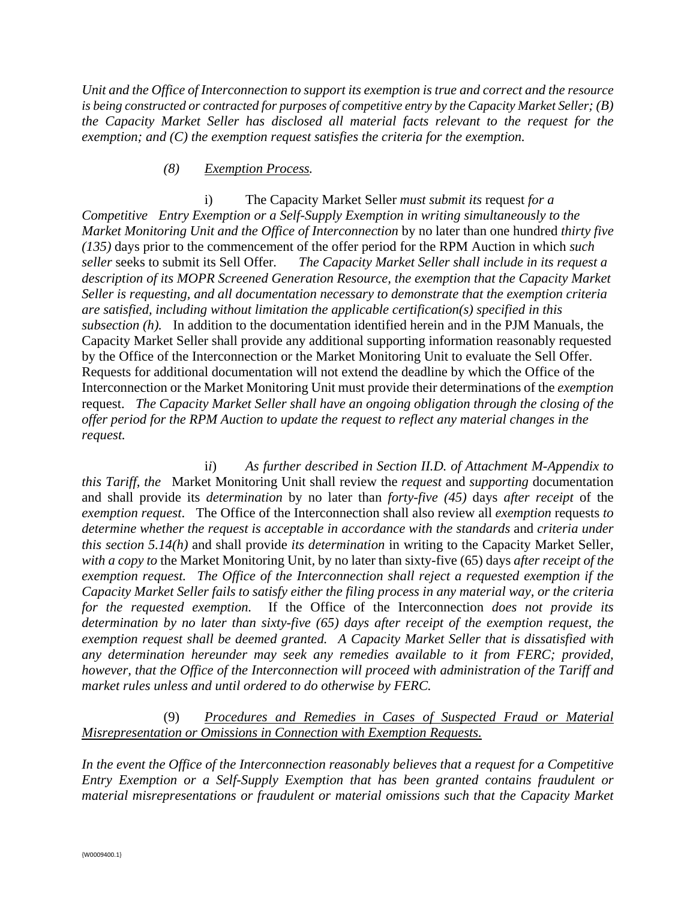*Unit and the Office of Interconnection to support its exemption is true and correct and the resource is being constructed or contracted for purposes of competitive entry by the Capacity Market Seller; (B) the Capacity Market Seller has disclosed all material facts relevant to the request for the exemption; and (C) the exemption request satisfies the criteria for the exemption.* 

#### *(8) Exemption Process.*

 i) The Capacity Market Seller *must submit its* request *for a Competitive Entry Exemption or a Self-Supply Exemption in writing simultaneously to the Market Monitoring Unit and the Office of Interconnection* by no later than one hundred *thirty five (135)* days prior to the commencement of the offer period for the RPM Auction in which *such seller* seeks to submit its Sell Offer*. The Capacity Market Seller shall include in its request a description of its MOPR Screened Generation Resource, the exemption that the Capacity Market Seller is requesting, and all documentation necessary to demonstrate that the exemption criteria are satisfied, including without limitation the applicable certification(s) specified in this subsection (h).* In addition to the documentation identified herein and in the PJM Manuals, the Capacity Market Seller shall provide any additional supporting information reasonably requested by the Office of the Interconnection or the Market Monitoring Unit to evaluate the Sell Offer. Requests for additional documentation will not extend the deadline by which the Office of the Interconnection or the Market Monitoring Unit must provide their determinations of the *exemption* request. *The Capacity Market Seller shall have an ongoing obligation through the closing of the offer period for the RPM Auction to update the request to reflect any material changes in the request.* 

 i*i*) *As further described in Section II.D. of Attachment M-Appendix to this Tariff, the* Market Monitoring Unit shall review the *request* and *supporting* documentation and shall provide its *determination* by no later than *forty-five (45)* days *after receipt* of the *exemption request*. The Office of the Interconnection shall also review all *exemption* requests *to determine whether the request is acceptable in accordance with the standards* and *criteria under this section 5.14(h)* and shall provide *its determination* in writing to the Capacity Market Seller, *with a copy to* the Market Monitoring Unit*,* by no later than sixty-five (65) days *after receipt of the exemption request. The Office of the Interconnection shall reject a requested exemption if the Capacity Market Seller fails to satisfy either the filing process in any material way, or the criteria for the requested exemption.* If the Office of the Interconnection *does not provide its determination by no later than sixty-five (65) days after receipt of the exemption request, the exemption request shall be deemed granted. A Capacity Market Seller that is dissatisfied with any determination hereunder may seek any remedies available to it from FERC; provided, however, that the Office of the Interconnection will proceed with administration of the Tariff and market rules unless and until ordered to do otherwise by FERC.* 

 (9) *Procedures and Remedies in Cases of Suspected Fraud or Material Misrepresentation or Omissions in Connection with Exemption Requests.* 

*In the event the Office of the Interconnection reasonably believes that a request for a Competitive Entry Exemption or a Self-Supply Exemption that has been granted contains fraudulent or material misrepresentations or fraudulent or material omissions such that the Capacity Market*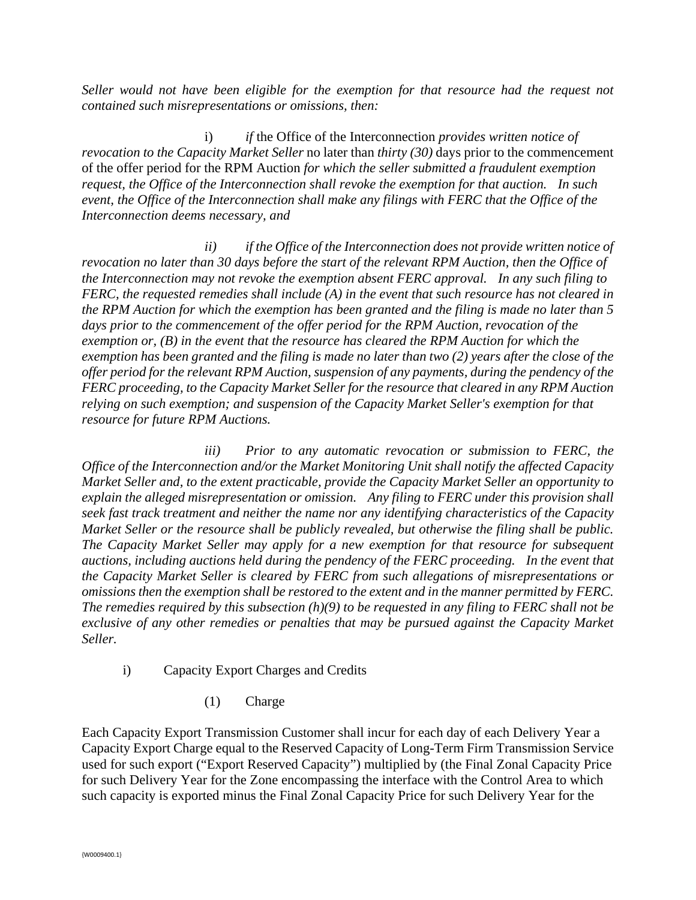*Seller would not have been eligible for the exemption for that resource had the request not contained such misrepresentations or omissions, then:* 

 i) *if* the Office of the Interconnection *provides written notice of revocation to the Capacity Market Seller* no later than *thirty (30)* days prior to the commencement of the offer period for the RPM Auction *for which the seller submitted a fraudulent exemption request, the Office of the Interconnection shall revoke the exemption for that auction. In such event, the Office of the Interconnection shall make any filings with FERC that the Office of the Interconnection deems necessary, and*

 *ii) if the Office of the Interconnection does not provide written notice of revocation no later than 30 days before the start of the relevant RPM Auction, then the Office of the Interconnection may not revoke the exemption absent FERC approval. In any such filing to FERC, the requested remedies shall include (A) in the event that such resource has not cleared in the RPM Auction for which the exemption has been granted and the filing is made no later than 5 days prior to the commencement of the offer period for the RPM Auction, revocation of the exemption or, (B) in the event that the resource has cleared the RPM Auction for which the exemption has been granted and the filing is made no later than two (2) years after the close of the offer period for the relevant RPM Auction, suspension of any payments, during the pendency of the FERC proceeding, to the Capacity Market Seller for the resource that cleared in any RPM Auction relying on such exemption; and suspension of the Capacity Market Seller's exemption for that resource for future RPM Auctions.* 

 *iii) Prior to any automatic revocation or submission to FERC, the Office of the Interconnection and/or the Market Monitoring Unit shall notify the affected Capacity Market Seller and, to the extent practicable, provide the Capacity Market Seller an opportunity to explain the alleged misrepresentation or omission. Any filing to FERC under this provision shall seek fast track treatment and neither the name nor any identifying characteristics of the Capacity Market Seller or the resource shall be publicly revealed, but otherwise the filing shall be public. The Capacity Market Seller may apply for a new exemption for that resource for subsequent auctions, including auctions held during the pendency of the FERC proceeding. In the event that the Capacity Market Seller is cleared by FERC from such allegations of misrepresentations or omissions then the exemption shall be restored to the extent and in the manner permitted by FERC. The remedies required by this subsection (h)(9) to be requested in any filing to FERC shall not be exclusive of any other remedies or penalties that may be pursued against the Capacity Market Seller.* 

- i) Capacity Export Charges and Credits
	- (1) Charge

Each Capacity Export Transmission Customer shall incur for each day of each Delivery Year a Capacity Export Charge equal to the Reserved Capacity of Long-Term Firm Transmission Service used for such export ("Export Reserved Capacity") multiplied by (the Final Zonal Capacity Price for such Delivery Year for the Zone encompassing the interface with the Control Area to which such capacity is exported minus the Final Zonal Capacity Price for such Delivery Year for the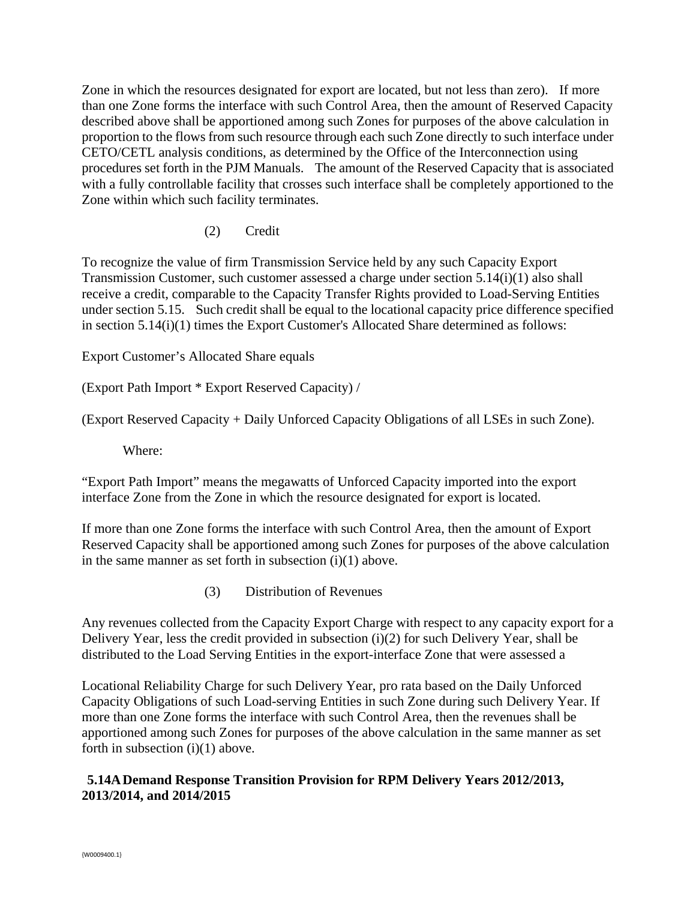Zone in which the resources designated for export are located, but not less than zero). If more than one Zone forms the interface with such Control Area, then the amount of Reserved Capacity described above shall be apportioned among such Zones for purposes of the above calculation in proportion to the flows from such resource through each such Zone directly to such interface under CETO/CETL analysis conditions, as determined by the Office of the Interconnection using procedures set forth in the PJM Manuals. The amount of the Reserved Capacity that is associated with a fully controllable facility that crosses such interface shall be completely apportioned to the Zone within which such facility terminates.

(2) Credit

To recognize the value of firm Transmission Service held by any such Capacity Export Transmission Customer, such customer assessed a charge under section 5.14(i)(1) also shall receive a credit, comparable to the Capacity Transfer Rights provided to Load-Serving Entities under section 5.15. Such credit shall be equal to the locational capacity price difference specified in section 5.14(i)(1) times the Export Customer's Allocated Share determined as follows:

Export Customer's Allocated Share equals

(Export Path Import \* Export Reserved Capacity) /

(Export Reserved Capacity + Daily Unforced Capacity Obligations of all LSEs in such Zone).

Where:

"Export Path Import" means the megawatts of Unforced Capacity imported into the export interface Zone from the Zone in which the resource designated for export is located.

If more than one Zone forms the interface with such Control Area, then the amount of Export Reserved Capacity shall be apportioned among such Zones for purposes of the above calculation in the same manner as set forth in subsection  $(i)(1)$  above.

(3) Distribution of Revenues

Any revenues collected from the Capacity Export Charge with respect to any capacity export for a Delivery Year, less the credit provided in subsection (i)(2) for such Delivery Year, shall be distributed to the Load Serving Entities in the export-interface Zone that were assessed a

Locational Reliability Charge for such Delivery Year, pro rata based on the Daily Unforced Capacity Obligations of such Load-serving Entities in such Zone during such Delivery Year. If more than one Zone forms the interface with such Control Area, then the revenues shall be apportioned among such Zones for purposes of the above calculation in the same manner as set forth in subsection  $(i)(1)$  above.

# **5.14A Demand Response Transition Provision for RPM Delivery Years 2012/2013, 2013/2014, and 2014/2015**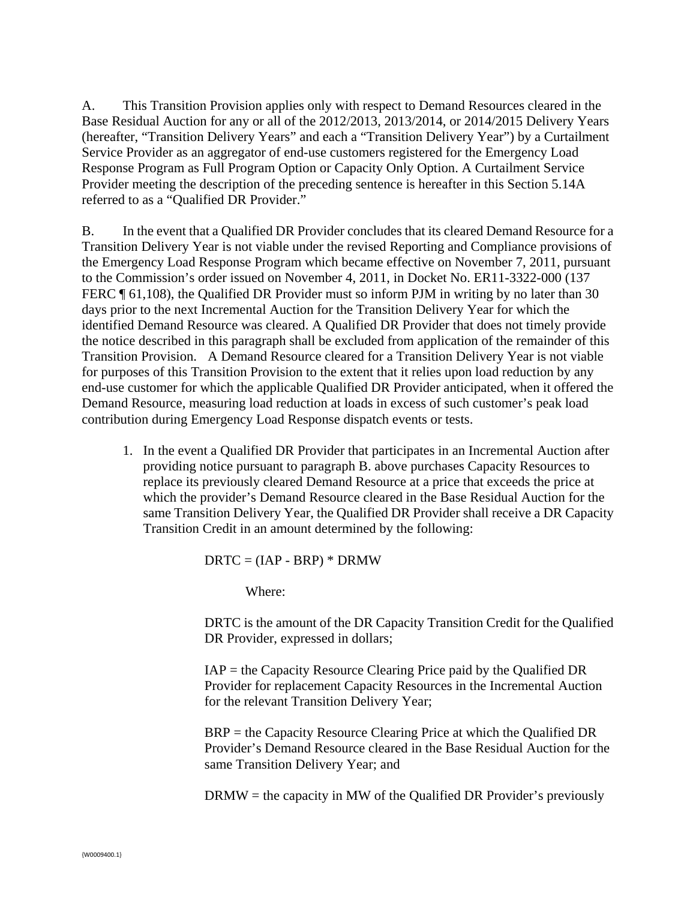A. This Transition Provision applies only with respect to Demand Resources cleared in the Base Residual Auction for any or all of the 2012/2013, 2013/2014, or 2014/2015 Delivery Years (hereafter, "Transition Delivery Years" and each a "Transition Delivery Year") by a Curtailment Service Provider as an aggregator of end-use customers registered for the Emergency Load Response Program as Full Program Option or Capacity Only Option. A Curtailment Service Provider meeting the description of the preceding sentence is hereafter in this Section 5.14A referred to as a "Qualified DR Provider."

B. In the event that a Qualified DR Provider concludes that its cleared Demand Resource for a Transition Delivery Year is not viable under the revised Reporting and Compliance provisions of the Emergency Load Response Program which became effective on November 7, 2011, pursuant to the Commission's order issued on November 4, 2011, in Docket No. ER11-3322-000 (137 FERC ¶ 61,108), the Qualified DR Provider must so inform PJM in writing by no later than 30 days prior to the next Incremental Auction for the Transition Delivery Year for which the identified Demand Resource was cleared. A Qualified DR Provider that does not timely provide the notice described in this paragraph shall be excluded from application of the remainder of this Transition Provision. A Demand Resource cleared for a Transition Delivery Year is not viable for purposes of this Transition Provision to the extent that it relies upon load reduction by any end-use customer for which the applicable Qualified DR Provider anticipated, when it offered the Demand Resource, measuring load reduction at loads in excess of such customer's peak load contribution during Emergency Load Response dispatch events or tests.

1. In the event a Qualified DR Provider that participates in an Incremental Auction after providing notice pursuant to paragraph B. above purchases Capacity Resources to replace its previously cleared Demand Resource at a price that exceeds the price at which the provider's Demand Resource cleared in the Base Residual Auction for the same Transition Delivery Year, the Qualified DR Provider shall receive a DR Capacity Transition Credit in an amount determined by the following:

 $DRTC = (IAP - BRP) * DRMW$ 

Where:

DRTC is the amount of the DR Capacity Transition Credit for the Qualified DR Provider, expressed in dollars;

 $IAP =$  the Capacity Resource Clearing Price paid by the Qualified DR Provider for replacement Capacity Resources in the Incremental Auction for the relevant Transition Delivery Year;

BRP = the Capacity Resource Clearing Price at which the Qualified DR Provider's Demand Resource cleared in the Base Residual Auction for the same Transition Delivery Year; and

 $DRMW =$  the capacity in MW of the Qualified DR Provider's previously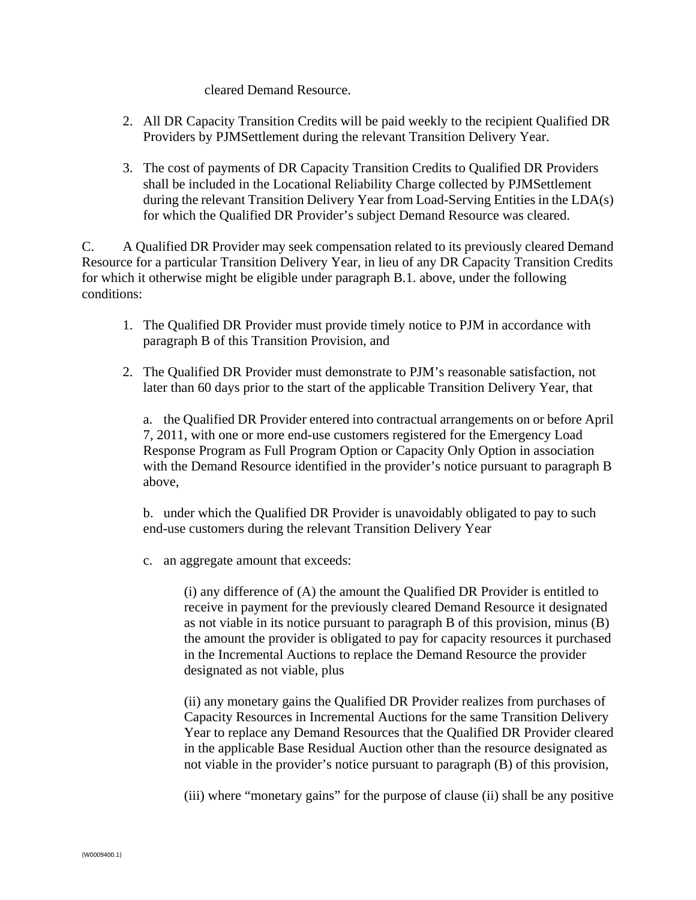#### cleared Demand Resource.

- 2. All DR Capacity Transition Credits will be paid weekly to the recipient Qualified DR Providers by PJMSettlement during the relevant Transition Delivery Year.
- 3. The cost of payments of DR Capacity Transition Credits to Qualified DR Providers shall be included in the Locational Reliability Charge collected by PJMSettlement during the relevant Transition Delivery Year from Load-Serving Entities in the LDA(s) for which the Qualified DR Provider's subject Demand Resource was cleared.

C. A Qualified DR Provider may seek compensation related to its previously cleared Demand Resource for a particular Transition Delivery Year, in lieu of any DR Capacity Transition Credits for which it otherwise might be eligible under paragraph B.1. above, under the following conditions:

- 1. The Qualified DR Provider must provide timely notice to PJM in accordance with paragraph B of this Transition Provision, and
- 2. The Qualified DR Provider must demonstrate to PJM's reasonable satisfaction, not later than 60 days prior to the start of the applicable Transition Delivery Year, that

a. the Qualified DR Provider entered into contractual arrangements on or before April 7, 2011, with one or more end-use customers registered for the Emergency Load Response Program as Full Program Option or Capacity Only Option in association with the Demand Resource identified in the provider's notice pursuant to paragraph B above,

b. under which the Qualified DR Provider is unavoidably obligated to pay to such end-use customers during the relevant Transition Delivery Year

c. an aggregate amount that exceeds:

(i) any difference of (A) the amount the Qualified DR Provider is entitled to receive in payment for the previously cleared Demand Resource it designated as not viable in its notice pursuant to paragraph B of this provision, minus (B) the amount the provider is obligated to pay for capacity resources it purchased in the Incremental Auctions to replace the Demand Resource the provider designated as not viable, plus

(ii) any monetary gains the Qualified DR Provider realizes from purchases of Capacity Resources in Incremental Auctions for the same Transition Delivery Year to replace any Demand Resources that the Qualified DR Provider cleared in the applicable Base Residual Auction other than the resource designated as not viable in the provider's notice pursuant to paragraph (B) of this provision,

(iii) where "monetary gains" for the purpose of clause (ii) shall be any positive